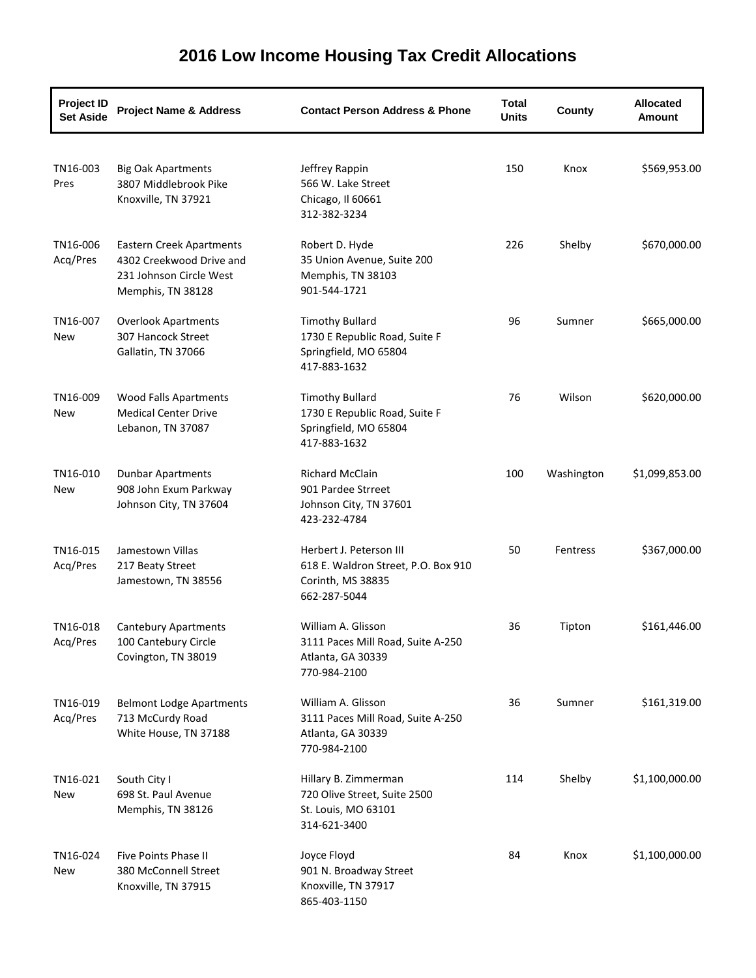| <b>Project ID</b><br><b>Set Aside</b> | <b>Project Name &amp; Address</b>                                                                           | <b>Contact Person Address &amp; Phone</b>                                                           | Total<br><b>Units</b> | County     | <b>Allocated</b><br><b>Amount</b> |
|---------------------------------------|-------------------------------------------------------------------------------------------------------------|-----------------------------------------------------------------------------------------------------|-----------------------|------------|-----------------------------------|
| TN16-003<br>Pres                      | <b>Big Oak Apartments</b><br>3807 Middlebrook Pike<br>Knoxville, TN 37921                                   | Jeffrey Rappin<br>566 W. Lake Street<br>Chicago, Il 60661<br>312-382-3234                           | 150                   | Knox       | \$569,953.00                      |
| TN16-006<br>Acq/Pres                  | <b>Eastern Creek Apartments</b><br>4302 Creekwood Drive and<br>231 Johnson Circle West<br>Memphis, TN 38128 | Robert D. Hyde<br>35 Union Avenue, Suite 200<br>Memphis, TN 38103<br>901-544-1721                   | 226                   | Shelby     | \$670,000.00                      |
| TN16-007<br>New                       | <b>Overlook Apartments</b><br>307 Hancock Street<br>Gallatin, TN 37066                                      | <b>Timothy Bullard</b><br>1730 E Republic Road, Suite F<br>Springfield, MO 65804<br>417-883-1632    | 96                    | Sumner     | \$665,000.00                      |
| TN16-009<br>New                       | <b>Wood Falls Apartments</b><br><b>Medical Center Drive</b><br>Lebanon, TN 37087                            | <b>Timothy Bullard</b><br>1730 E Republic Road, Suite F<br>Springfield, MO 65804<br>417-883-1632    | 76                    | Wilson     | \$620,000.00                      |
| TN16-010<br>New                       | <b>Dunbar Apartments</b><br>908 John Exum Parkway<br>Johnson City, TN 37604                                 | <b>Richard McClain</b><br>901 Pardee Strreet<br>Johnson City, TN 37601<br>423-232-4784              | 100                   | Washington | \$1,099,853.00                    |
| TN16-015<br>Acq/Pres                  | Jamestown Villas<br>217 Beaty Street<br>Jamestown, TN 38556                                                 | Herbert J. Peterson III<br>618 E. Waldron Street, P.O. Box 910<br>Corinth, MS 38835<br>662-287-5044 | 50                    | Fentress   | \$367,000.00                      |
| TN16-018<br>Acq/Pres                  | <b>Cantebury Apartments</b><br>100 Cantebury Circle<br>Covington, TN 38019                                  | William A. Glisson<br>3111 Paces Mill Road, Suite A-250<br>Atlanta, GA 30339<br>770-984-2100        | 36                    | Tipton     | \$161,446.00                      |
| TN16-019<br>Acq/Pres                  | <b>Belmont Lodge Apartments</b><br>713 McCurdy Road<br>White House, TN 37188                                | William A. Glisson<br>3111 Paces Mill Road, Suite A-250<br>Atlanta, GA 30339<br>770-984-2100        | 36                    | Sumner     | \$161,319.00                      |
| TN16-021<br>New                       | South City I<br>698 St. Paul Avenue<br>Memphis, TN 38126                                                    | Hillary B. Zimmerman<br>720 Olive Street, Suite 2500<br>St. Louis, MO 63101<br>314-621-3400         | 114                   | Shelby     | \$1,100,000.00                    |
| TN16-024<br>New                       | <b>Five Points Phase II</b><br>380 McConnell Street<br>Knoxville, TN 37915                                  | Joyce Floyd<br>901 N. Broadway Street<br>Knoxville, TN 37917<br>865-403-1150                        | 84                    | Knox       | \$1,100,000.00                    |

## **2016 Low Income Housing Tax Credit Allocations**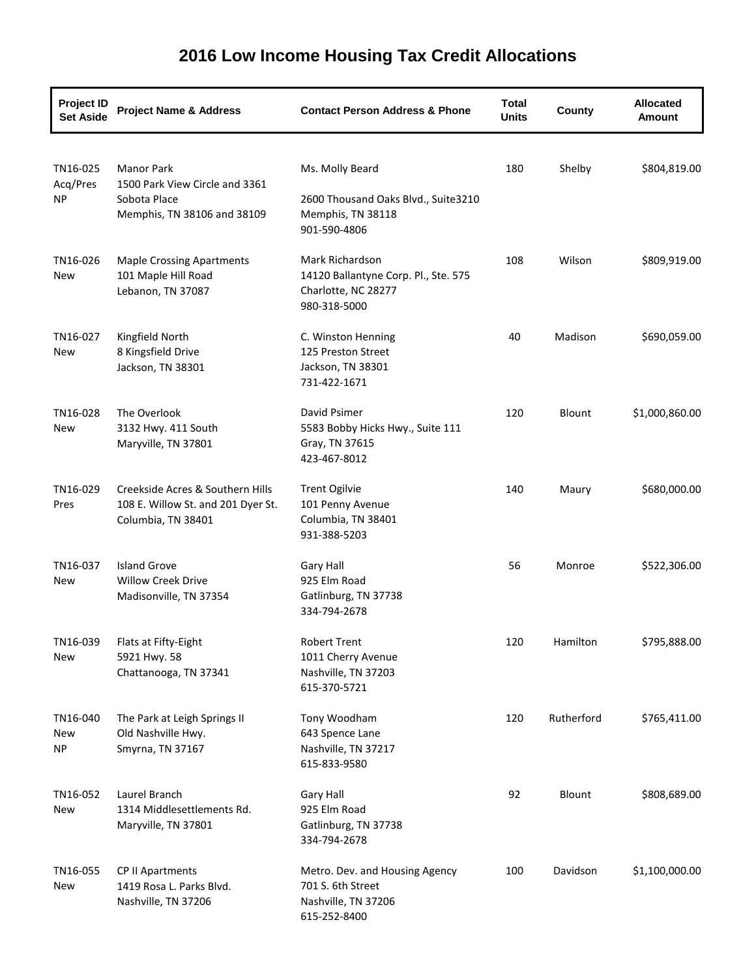| <b>Project ID</b><br><b>Set Aside</b> | <b>Project Name &amp; Address</b>                                                                  | <b>Contact Person Address &amp; Phone</b>                                                      | <b>Total</b><br><b>Units</b> | County     | <b>Allocated</b><br>Amount |
|---------------------------------------|----------------------------------------------------------------------------------------------------|------------------------------------------------------------------------------------------------|------------------------------|------------|----------------------------|
| TN16-025<br>Acq/Pres<br><b>NP</b>     | <b>Manor Park</b><br>1500 Park View Circle and 3361<br>Sobota Place<br>Memphis, TN 38106 and 38109 | Ms. Molly Beard<br>2600 Thousand Oaks Blvd., Suite3210<br>Memphis, TN 38118<br>901-590-4806    | 180                          | Shelby     | \$804,819.00               |
| TN16-026<br>New                       | <b>Maple Crossing Apartments</b><br>101 Maple Hill Road<br>Lebanon, TN 37087                       | Mark Richardson<br>14120 Ballantyne Corp. Pl., Ste. 575<br>Charlotte, NC 28277<br>980-318-5000 | 108                          | Wilson     | \$809,919.00               |
| TN16-027<br>New                       | Kingfield North<br>8 Kingsfield Drive<br>Jackson, TN 38301                                         | C. Winston Henning<br>125 Preston Street<br>Jackson, TN 38301<br>731-422-1671                  | 40                           | Madison    | \$690,059.00               |
| TN16-028<br>New                       | The Overlook<br>3132 Hwy. 411 South<br>Maryville, TN 37801                                         | David Psimer<br>5583 Bobby Hicks Hwy., Suite 111<br>Gray, TN 37615<br>423-467-8012             | 120                          | Blount     | \$1,000,860.00             |
| TN16-029<br>Pres                      | Creekside Acres & Southern Hills<br>108 E. Willow St. and 201 Dyer St.<br>Columbia, TN 38401       | <b>Trent Ogilvie</b><br>101 Penny Avenue<br>Columbia, TN 38401<br>931-388-5203                 | 140                          | Maury      | \$680,000.00               |
| TN16-037<br>New                       | <b>Island Grove</b><br><b>Willow Creek Drive</b><br>Madisonville, TN 37354                         | Gary Hall<br>925 Elm Road<br>Gatlinburg, TN 37738<br>334-794-2678                              | 56                           | Monroe     | \$522,306.00               |
| TN16-039<br>New                       | Flats at Fifty-Eight<br>5921 Hwy. 58<br>Chattanooga, TN 37341                                      | <b>Robert Trent</b><br>1011 Cherry Avenue<br>Nashville, TN 37203<br>615-370-5721               | 120                          | Hamilton   | \$795,888.00               |
| TN16-040<br>New<br><b>NP</b>          | The Park at Leigh Springs II<br>Old Nashville Hwy.<br>Smyrna, TN 37167                             | Tony Woodham<br>643 Spence Lane<br>Nashville, TN 37217<br>615-833-9580                         | 120                          | Rutherford | \$765,411.00               |
| TN16-052<br>New                       | Laurel Branch<br>1314 Middlesettlements Rd.<br>Maryville, TN 37801                                 | Gary Hall<br>925 Elm Road<br>Gatlinburg, TN 37738<br>334-794-2678                              | 92                           | Blount     | \$808,689.00               |
| TN16-055<br>New                       | CP II Apartments<br>1419 Rosa L. Parks Blvd.<br>Nashville, TN 37206                                | Metro. Dev. and Housing Agency<br>701 S. 6th Street<br>Nashville, TN 37206<br>615-252-8400     | 100                          | Davidson   | \$1,100,000.00             |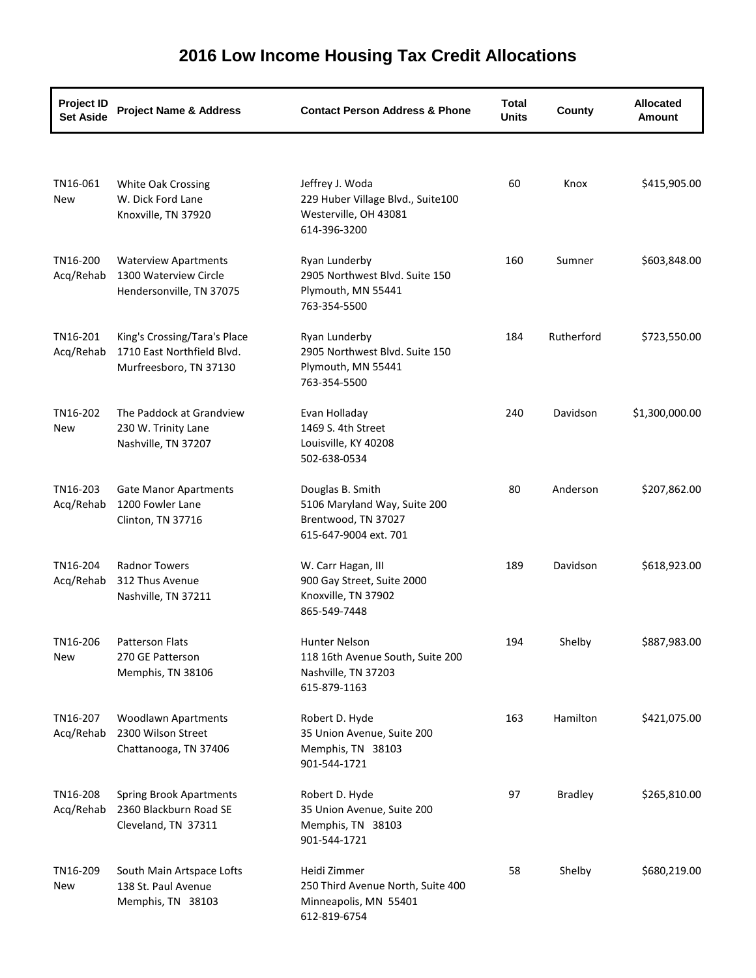| <b>Project ID</b><br><b>Set Aside</b> | <b>Project Name &amp; Address</b>                                                    | <b>Contact Person Address &amp; Phone</b>                                                        | <b>Total</b><br><b>Units</b> | County         | <b>Allocated</b><br><b>Amount</b> |
|---------------------------------------|--------------------------------------------------------------------------------------|--------------------------------------------------------------------------------------------------|------------------------------|----------------|-----------------------------------|
|                                       |                                                                                      |                                                                                                  |                              |                |                                   |
| TN16-061<br>New                       | <b>White Oak Crossing</b><br>W. Dick Ford Lane<br>Knoxville, TN 37920                | Jeffrey J. Woda<br>229 Huber Village Blvd., Suite100<br>Westerville, OH 43081<br>614-396-3200    | 60                           | Knox           | \$415,905.00                      |
| TN16-200<br>Acq/Rehab                 | <b>Waterview Apartments</b><br>1300 Waterview Circle<br>Hendersonville, TN 37075     | Ryan Lunderby<br>2905 Northwest Blvd. Suite 150<br>Plymouth, MN 55441<br>763-354-5500            | 160                          | Sumner         | \$603,848.00                      |
| TN16-201<br>Acq/Rehab                 | King's Crossing/Tara's Place<br>1710 East Northfield Blvd.<br>Murfreesboro, TN 37130 | Ryan Lunderby<br>2905 Northwest Blvd. Suite 150<br>Plymouth, MN 55441<br>763-354-5500            | 184                          | Rutherford     | \$723,550.00                      |
| TN16-202<br>New                       | The Paddock at Grandview<br>230 W. Trinity Lane<br>Nashville, TN 37207               | Evan Holladay<br>1469 S. 4th Street<br>Louisville, KY 40208<br>502-638-0534                      | 240                          | Davidson       | \$1,300,000.00                    |
| TN16-203<br>Acq/Rehab                 | <b>Gate Manor Apartments</b><br>1200 Fowler Lane<br>Clinton, TN 37716                | Douglas B. Smith<br>5106 Maryland Way, Suite 200<br>Brentwood, TN 37027<br>615-647-9004 ext. 701 | 80                           | Anderson       | \$207,862.00                      |
| TN16-204<br>Acq/Rehab                 | <b>Radnor Towers</b><br>312 Thus Avenue<br>Nashville, TN 37211                       | W. Carr Hagan, III<br>900 Gay Street, Suite 2000<br>Knoxville, TN 37902<br>865-549-7448          | 189                          | Davidson       | \$618,923.00                      |
| TN16-206<br>New                       | Patterson Flats<br>270 GE Patterson<br>Memphis, TN 38106                             | Hunter Nelson<br>118 16th Avenue South, Suite 200<br>Nashville, TN 37203<br>615-879-1163         | 194                          | Shelby         | \$887,983.00                      |
| TN16-207<br>Acq/Rehab                 | <b>Woodlawn Apartments</b><br>2300 Wilson Street<br>Chattanooga, TN 37406            | Robert D. Hyde<br>35 Union Avenue, Suite 200<br>Memphis, TN 38103<br>901-544-1721                | 163                          | Hamilton       | \$421,075.00                      |
| TN16-208<br>Acq/Rehab                 | <b>Spring Brook Apartments</b><br>2360 Blackburn Road SE<br>Cleveland, TN 37311      | Robert D. Hyde<br>35 Union Avenue, Suite 200<br>Memphis, TN 38103<br>901-544-1721                | 97                           | <b>Bradley</b> | \$265,810.00                      |
| TN16-209<br>New                       | South Main Artspace Lofts<br>138 St. Paul Avenue<br>Memphis, TN 38103                | Heidi Zimmer<br>250 Third Avenue North, Suite 400<br>Minneapolis, MN 55401<br>612-819-6754       | 58                           | Shelby         | \$680,219.00                      |

## **2016 Low Income Housing Tax Credit Allocations**